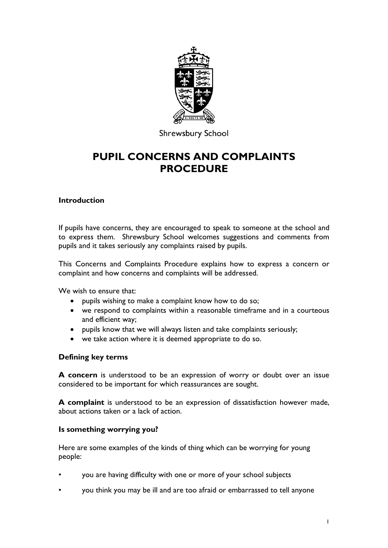

**Shrewsbury School** 

# **PUPIL CONCERNS AND COMPLAINTS PROCEDURE**

## **Introduction**

If pupils have concerns, they are encouraged to speak to someone at the school and to express them. Shrewsbury School welcomes suggestions and comments from pupils and it takes seriously any complaints raised by pupils.

This Concerns and Complaints Procedure explains how to express a concern or complaint and how concerns and complaints will be addressed.

We wish to ensure that:

- pupils wishing to make a complaint know how to do so;
- we respond to complaints within a reasonable timeframe and in a courteous and efficient way;
- pupils know that we will always listen and take complaints seriously;
- we take action where it is deemed appropriate to do so.

## **Defining key terms**

**A concern** is understood to be an expression of worry or doubt over an issue considered to be important for which reassurances are sought.

**A complaint** is understood to be an expression of dissatisfaction however made, about actions taken or a lack of action.

#### **Is something worrying you?**

Here are some examples of the kinds of thing which can be worrying for young people:

- you are having difficulty with one or more of your school subjects
- you think you may be ill and are too afraid or embarrassed to tell anyone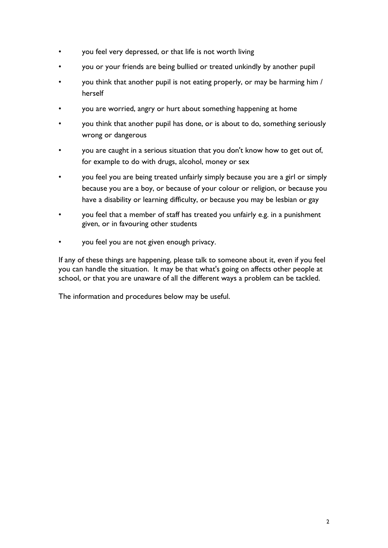- you feel very depressed, or that life is not worth living
- you or your friends are being bullied or treated unkindly by another pupil
- you think that another pupil is not eating properly, or may be harming him / herself
- you are worried, angry or hurt about something happening at home
- you think that another pupil has done, or is about to do, something seriously wrong or dangerous
- you are caught in a serious situation that you don't know how to get out of, for example to do with drugs, alcohol, money or sex
- you feel you are being treated unfairly simply because you are a girl or simply because you are a boy, or because of your colour or religion, or because you have a disability or learning difficulty, or because you may be lesbian or gay
- you feel that a member of staff has treated you unfairly e.g. in a punishment given, or in favouring other students
- you feel you are not given enough privacy.

If any of these things are happening, please talk to someone about it, even if you feel you can handle the situation. It may be that what's going on affects other people at school, or that you are unaware of all the different ways a problem can be tackled.

The information and procedures below may be useful.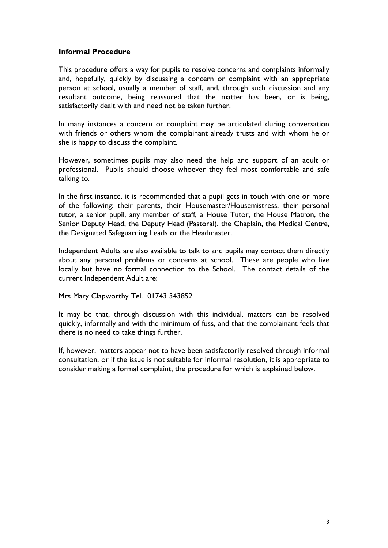### **Informal Procedure**

This procedure offers a way for pupils to resolve concerns and complaints informally and, hopefully, quickly by discussing a concern or complaint with an appropriate person at school, usually a member of staff, and, through such discussion and any resultant outcome, being reassured that the matter has been, or is being, satisfactorily dealt with and need not be taken further.

In many instances a concern or complaint may be articulated during conversation with friends or others whom the complainant already trusts and with whom he or she is happy to discuss the complaint.

However, sometimes pupils may also need the help and support of an adult or professional. Pupils should choose whoever they feel most comfortable and safe talking to.

In the first instance, it is recommended that a pupil gets in touch with one or more of the following: their parents, their Housemaster/Housemistress, their personal tutor, a senior pupil, any member of staff, a House Tutor, the House Matron, the Senior Deputy Head, the Deputy Head (Pastoral), the Chaplain, the Medical Centre, the Designated Safeguarding Leads or the Headmaster.

Independent Adults are also available to talk to and pupils may contact them directly about any personal problems or concerns at school. These are people who live locally but have no formal connection to the School. The contact details of the current Independent Adult are:

Mrs Mary Clapworthy Tel. 01743 343852

It may be that, through discussion with this individual, matters can be resolved quickly, informally and with the minimum of fuss, and that the complainant feels that there is no need to take things further.

If, however, matters appear not to have been satisfactorily resolved through informal consultation, or if the issue is not suitable for informal resolution, it is appropriate to consider making a formal complaint, the procedure for which is explained below.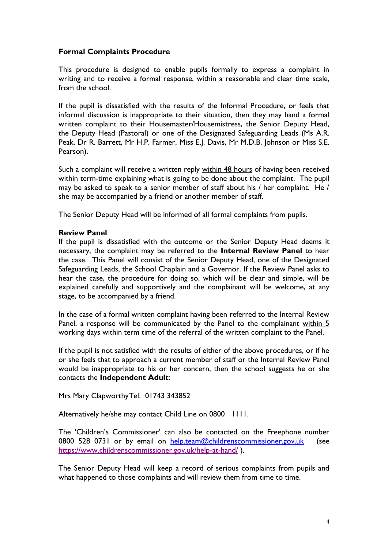## **Formal Complaints Procedure**

This procedure is designed to enable pupils formally to express a complaint in writing and to receive a formal response, within a reasonable and clear time scale, from the school.

If the pupil is dissatisfied with the results of the Informal Procedure, or feels that informal discussion is inappropriate to their situation, then they may hand a formal written complaint to their Housemaster/Housemistress, the Senior Deputy Head, the Deputy Head (Pastoral) or one of the Designated Safeguarding Leads (Ms A.R. Peak, Dr R. Barrett, Mr H.P. Farmer, Miss E.J. Davis, Mr M.D.B. Johnson or Miss S.E. Pearson).

Such a complaint will receive a written reply within 48 hours of having been received within term-time explaining what is going to be done about the complaint. The pupil may be asked to speak to a senior member of staff about his / her complaint. He / she may be accompanied by a friend or another member of staff.

The Senior Deputy Head will be informed of all formal complaints from pupils.

### **Review Panel**

If the pupil is dissatisfied with the outcome or the Senior Deputy Head deems it necessary, the complaint may be referred to the **Internal Review Panel** to hear the case. This Panel will consist of the Senior Deputy Head, one of the Designated Safeguarding Leads, the School Chaplain and a Governor. If the Review Panel asks to hear the case, the procedure for doing so, which will be clear and simple, will be explained carefully and supportively and the complainant will be welcome, at any stage, to be accompanied by a friend.

In the case of a formal written complaint having been referred to the Internal Review Panel, a response will be communicated by the Panel to the complainant within 5 working days within term time of the referral of the written complaint to the Panel.

If the pupil is not satisfied with the results of either of the above procedures, or if he or she feels that to approach a current member of staff or the Internal Review Panel would be inappropriate to his or her concern, then the school suggests he or she contacts the **Independent Adult**:

Mrs Mary ClapworthyTel. 01743 343852

Alternatively he/she may contact Child Line on 0800 1111.

The 'Children's Commissioner' can also be contacted on the Freephone number 0800 528 0731 or by email on [help.team@childrenscommissioner.gov.uk](mailto:help.team@childrenscommissioner.gov.uk) (see <https://www.childrenscommissioner.gov.uk/help-at-hand/> ).

The Senior Deputy Head will keep a record of serious complaints from pupils and what happened to those complaints and will review them from time to time.